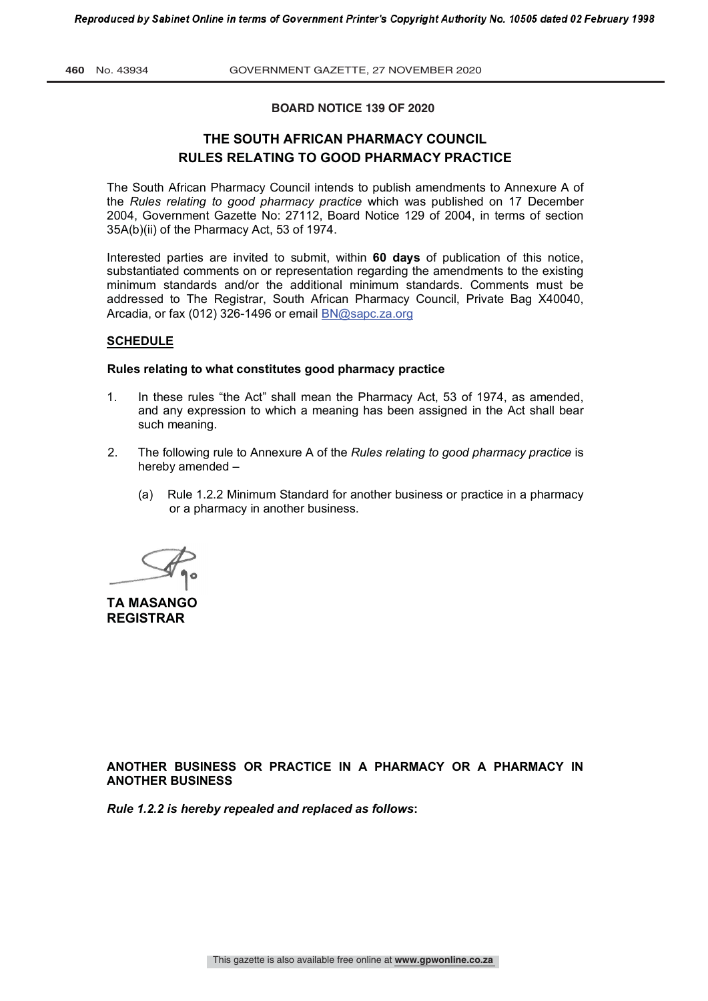**460** No. 43934 GOVERNMENT GAZETTE, 27 NOVEMBER 2020

#### **BOARD NOTICE 139 OF 2020**

# **THE SOUTH AFRICAN PHARMACY COUNCIL RULES RELATING TO GOOD PHARMACY PRACTICE**

The South African Pharmacy Council intends to publish amendments to Annexure A of the *Rules relating to good pharmacy practice* which was published on 17 December 2004, Government Gazette No: 27112, Board Notice 129 of 2004, in terms of section 35A(b)(ii) of the Pharmacy Act, 53 of 1974.

Interested parties are invited to submit, within **60 days** of publication of this notice, substantiated comments on or representation regarding the amendments to the existing minimum standards and/or the additional minimum standards. Comments must be addressed to The Registrar, South African Pharmacy Council, Private Bag X40040, Arcadia, or fax (012) 326-1496 or email BN@sapc.za.org

## **SCHEDULE**

#### **Rules relating to what constitutes good pharmacy practice**

- 1. In these rules "the Act" shall mean the Pharmacy Act, 53 of 1974, as amended, and any expression to which a meaning has been assigned in the Act shall bear such meaning.
- 2. The following rule to Annexure A of the *Rules relating to good pharmacy practice* is hereby amended –
	- (a) Rule 1.2.2 Minimum Standard for another business or practice in a pharmacy or a pharmacy in another business.

**TA MASANGO REGISTRAR**

**ANOTHER BUSINESS OR PRACTICE IN A PHARMACY OR A PHARMACY IN ANOTHER BUSINESS**

*Rule 1.2.2 is hereby repealed and replaced as follows***:**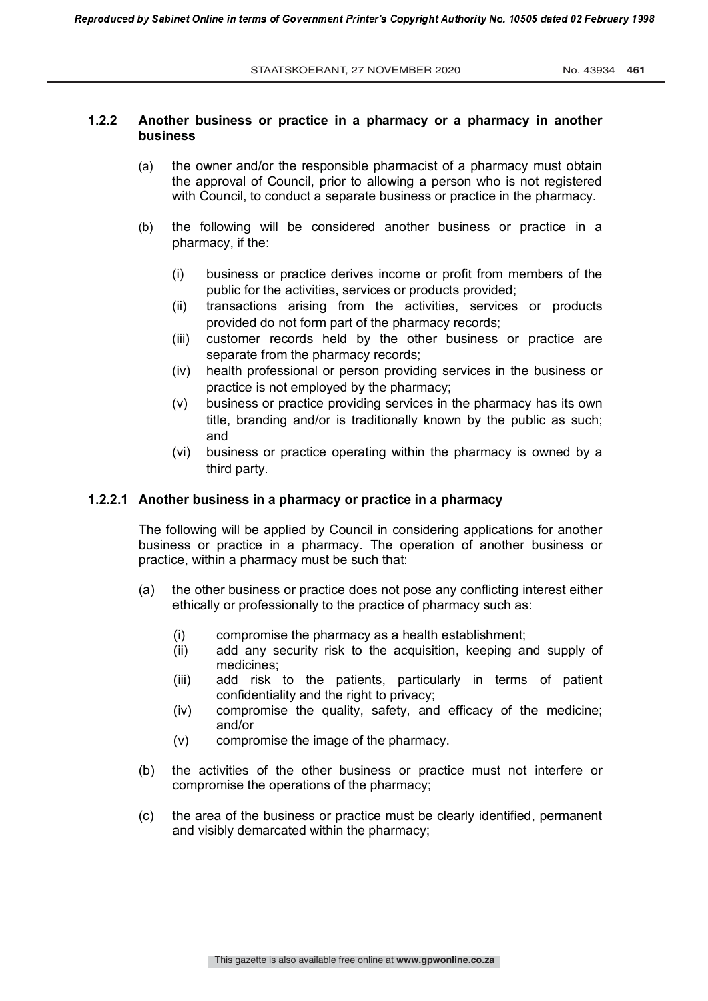# **1.2.2 Another business or practice in a pharmacy or a pharmacy in another business**

- (a) the owner and/or the responsible pharmacist of a pharmacy must obtain the approval of Council, prior to allowing a person who is not registered with Council, to conduct a separate business or practice in the pharmacy.
- (b) the following will be considered another business or practice in a pharmacy, if the:
	- (i) business or practice derives income or profit from members of the public for the activities, services or products provided;
	- (ii) transactions arising from the activities, services or products provided do not form part of the pharmacy records;
	- (iii) customer records held by the other business or practice are separate from the pharmacy records;
	- (iv) health professional or person providing services in the business or practice is not employed by the pharmacy;
	- (v) business or practice providing services in the pharmacy has its own title, branding and/or is traditionally known by the public as such; and
	- (vi) business or practice operating within the pharmacy is owned by a third party.

# **1.2.2.1 Another business in a pharmacy or practice in a pharmacy**

The following will be applied by Council in considering applications for another business or practice in a pharmacy. The operation of another business or practice, within a pharmacy must be such that:

- (a) the other business or practice does not pose any conflicting interest either ethically or professionally to the practice of pharmacy such as:
	- (i) compromise the pharmacy as a health establishment;
	- (ii) add any security risk to the acquisition, keeping and supply of medicines;
	- (iii) add risk to the patients, particularly in terms of patient confidentiality and the right to privacy;
	- (iv) compromise the quality, safety, and efficacy of the medicine; and/or
	- (v) compromise the image of the pharmacy.
- (b) the activities of the other business or practice must not interfere or compromise the operations of the pharmacy;
- (c) the area of the business or practice must be clearly identified, permanent and visibly demarcated within the pharmacy;